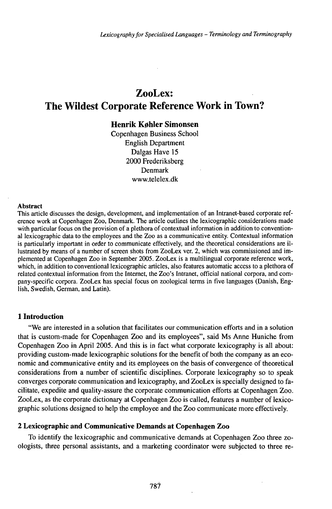# ZooLex: The Wildest Corporate Reference Work in Town?

## **Henrik Køhler Simonsen**

Copenhagen Business School English Department Dalgas Have 15 2000 Frederiksberg Denmark www.telelex.dk

#### Abstract

This article discusses the design, development, and implementation of an Intranet-based corporate reference work at Copenhagen Zoo, Denmark. The article outlines the lexicographic considerations made with particular focus on the provision of a plethora of contextual information in addition to conventional lexicographic data to the employees and the Zoo as a communicative entity. Contextual information is particularly important in order to communicate effectively, and the theoretical considerations are illustrated by means of a number of screen shots from ZooLex ver. 2, which was commissioned and implemented at Copenhagen Zoo in September 2005. ZooLex is a multilingual corporate reference work, which, in addition to conventional lexicographic articles, also features automatic access to a plethora of related contextual information from the Internet, the Zoo's Intranet, official national corpora, and company-specific corpora. ZooLex has special focus on zoological terms in five languages (Danish, English, Swedish, German, and Latin).

## **1 Introduction**

"We are interested in a solution that facilitates our communication efforts and in a solution that is custom-made for Copenhagen Zoo and its employees", said Ms Anne Huniche from Copenhagen Zoo in April 2005. And this is in fact what corporate lexicography is all about: providing custom-made lexicographic solutions for the benefit of both the company as an economic and communicative entity and its employees on the basis of convergence of theoretical considerations from a number of scientific disciplines. Corporate lexicography so to speak converges corporate communication and lexicography, and ZooLex is specially designed to facilitate, expedite and quality-assure the corporate communication efforts at Copenhagen Zoo. ZooLex, as the corporate dictionary at Copenhagen Zoo is called, features a number of lexicographic solutions designed to help the employee and the Zoo communicate more effectively.

#### **2 Lexicographic and Communicative Demands at Copenhagen Zoo**

To identify the lexicographic and communicative demands at Copenhagen Zoo three zoologists, three personal assistants, and a marketing coordinator were subjected to three re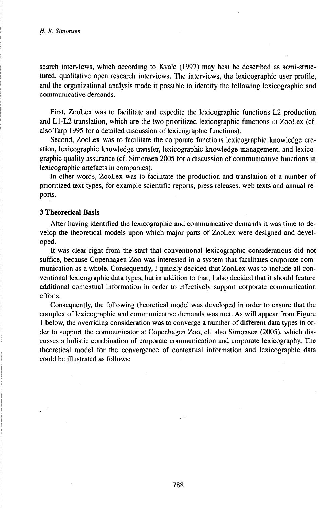search interviews, which according to Kvale (1997) may best be described as semi-structured, qualitative open research interviews. The interviews, the lexicographic user profile, and the organizational analysis made it possible to identify the following lexicographic and communicative demands.

First, ZooLex was to facilitate and expedite the lexicographic functions L2 production and Ll-L2 translation, which are the two prioritized lexicographic functions in ZooLex (cf. also Tarp 1995 for a detailed discussion of lexicographic functions).

Second, ZooLex was to facilitate the corporate functions lexicographic knowledge creation, lexicographic knowledge transfer, lexicographic knowledge management, and lexicographic quality assurance (cf. Simonsen 2005 for a discussion of communicative functions in lexicographic artefacts in companies).

In other words, ZooLex was to facilitate the production and translation of a number of prioritized text types, for example scientific reports, press releases, web texts and annual reports.

#### **3 Theoretical Basis**

After having identified the lexicographic and communicative demands it was time to develop the theoretical models upon which major parts of ZooLex were designed and developed.

It was clear right from the start that conventional lexicographic considerations did not suffice, because Copenhagen Zoo was interested in a system that facilitates corporate communication as a whole. Consequently, I quickly decided that ZooLex was to include all conventional lexicographic data types, but in addition to that, I also decided that it should feature additional contextual information in order to effectively support corporate communication efforts.

Consequently, the following theoretical model was developed in order to ensure that the complex of lexicographic and communicative demands was met. As will appear from Figure <sup>1</sup> below, the overriding consideration was to converge a number of different data types in order to support the communicator at Copenhagen Zoo, cf. also Simonsen (2005), which discusses a holistic combination of corporate communication and corporate lexicography. The theoretical model for the convergence of contextual information and lexicographic data could be illustrated as follows: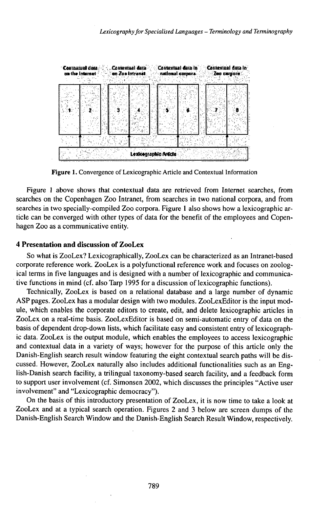

Figure 1. Convergence of Lexicographic Article and Contextual Information

Figure <sup>1</sup> above shows that contextual data are retrieved from Internet searches, from searches on the Copenhagen Zoo Intranet, from searches in two national corpora, and from searches in two specially-compiled Zoo corpora. Figure <sup>1</sup> also shows how a lexicographic article can be converged with other types of data for the benefit of the employees and Copenhagen Zoo as a communicative entity.

#### **4 Presentation and discussion of ZooLex**

So what is ZooLex? Lexicographically, ZooLex can be characterized as an Intranet-based corporate reference work. ZooLex is a polyfunctional reference work and focuses on zoological terms in five languages and is designed with a number of lexicographic and communicative functions in mind (cf. also Tarp 1995 for a discussion of lexicographic functions).

Technically, ZooLex is based on a relational database and a large number of dynamic ASP pages. ZooLex has a modular design with two modules. ZooLexEditor is the input module, which enables the corporate editors to create, edit, and delete lexicographic articles in ZooLex on a real-time basis. ZooLexEditor is based on semi-automatic entry of data on the basis of dependent drop-down lists, which facilitate easy and consistent entry of lexicographic data. ZooLex is the output module, which enables the employees to access lexicographic and contextual data in a variety of ways; however for the purpose of this article only the Danish-English search result window featuring the eight contextual search paths will be discussed. However, ZooLex naturally also includes additional functionalities such as an English-Danish search facility, a trilingual taxonomy-based search facility, and a feedback form to support user involvement (cf. Simonsen 2002, which discusses the principles "Active user involvement" and "Lexicographic democracy").

On the basis of this introductory presentation of ZooLex, it is now time to take a look at ZooLex and at a typical search operation. Figures 2 and 3 below are screen dumps of the Danish-English Search Window and the Danish-English Search Result Window, respectively.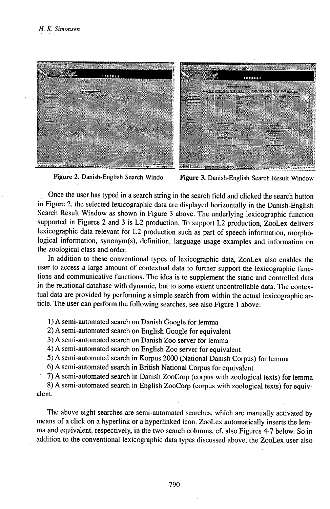



Figure 2. Danish-English Search Windo Figure 3. Danish-English Search Result Window

Once the user has typed in a search string in the search field and clicked the search button in Figure 2, the selected lexicographic data are displayed horizontally in the Danish-English Search Result Window as shown in Figure 3 above. The underlying lexicographic function supported in Figures 2 and 3 is L2 production. To support L2 production, ZooLex delivers lexicographic data relevant for L2 production such as part of speech information, morphological information, synonym(s), definition, language usage examples and information on the zoological class and order.

In addition to these conventional types of lexicographic data, ZooLex also enables the user to access a large amount of contextual data to further support the lexicographic functions and communicative functions. The idea is to supplement the static and controlled data in the relational database with dynamic, but to some extent uncontrollable data. The contextual data are provided by performing a simple search from within the actual lexicographic article. The user can perform the following searches, see also Figure <sup>1</sup> above:

1) A semi-automated search on Danish Google for lemma

2) A semi-automated search on English Google for equivalent

3) A semi-automated search on Danish Zoo server for lemma

4) A semi-automated search on English Zoo server for equivalent

5) A semi-automated search in Korpus 2000 (National Danish Corpus) for lemma

6) A semi-automated search in British National Corpus for equivalent

 $\sim$  7) A semi-automated search in Danish ZooCorp (corpus with zoological texts) for lemma

8) A semi-automated search in English ZooCorp (corpus with zoological texts) for equivalent.

The above eight searches are semi-automated searches, which are manually activated by means of a click on a hyperlink or a hyperlinked icon. ZooLex automatically inserts the lemma and equivalent, respectively, in the two search columns, cf. also Figures 4-7 below. So in addition to the conventional lexicographic data types discussed above, the ZooLex user also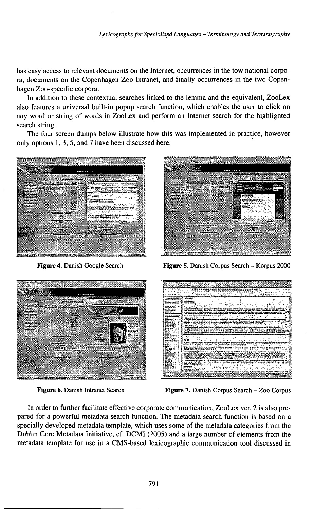has easy access to relevant documents on the Internet, occurrences in the tow national corpora, documents on the Copenhagen Zoo Intranet, and finally occurrences in the two Copenhagen Zoo-specific corpora.

In addition to these contextual searches linked to the lemma and the equivalent, ZooLex also features a universal built-in popup search function, which enables the user to click on any word or string of words in ZooLex and perform an Internet search for the highlighted search string.

The four screen dumps below illustrate how this was implemented in practice, however only options 1, 3, 5, and 7 have been discussed here.



Figure 4. Danish Google Search



Figure 5. Danish Corpus Search - Korpus 2000



Figure 6. Danish Intranet Search



Figure 7. Danish Corpus Search - Zoo Corpus

In order to further facilitate effective corporate communication, ZooLex ver. 2 is also prepared for a powerful metadata search function. The metadata search function is based on a specially developed metadata template, which uses some of the metadata categories from the Dublin Core Metadata Initiative, cf. DCMI (2005) and a large number of elements from the metadata template for use in a CMS-based lexicographic communication tool discussed in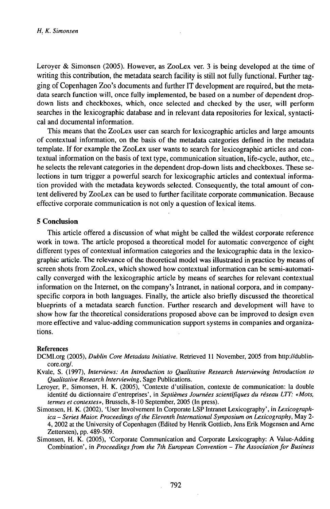Leroyer & Simonsen (2005). However, as ZooLex ver. 3 is being developed at the time of writing this contribution, the metadata search facility is still not fully functional. Further tagging of Copenhagen Zoo's documents and further IT development are required, but the metadata search function will, once fully implemented, be based on a number of dependent dropdown lists and checkboxes, which, once selected and checked by the user, will perform searches in the lexicographic database and in relevant data repositories for lexical, syntactical and documental information.

This means that the ZooLex user can search for lexicographic articles and large amounts of contextual information, on the basis of the metadata categories defined in the metadata template. If for example the ZooLex user wants to search for lexicographic articles and contextual information on the basis of text type, communication situation, life-cycle, author, etc., he selects the relevant categories in the dependent drop-down lists and checkboxes. These selections in turn trigger a powerful search for lexicographic articles and contextual information provided with the metadata keywords selected. Consequently, the total amount of content delivered by ZooLex can be used to further facilitate corporate communication. Because effective corporate communication is not only a question of lexical items.

### **5 Conclusion**

This article offered a discussion of what might be called the wildest corporate reference work in town. The article proposed a theoretical model for automatic convergence of eight different types of contextual information categories and the lexicographic data in the lexicographic article. The relevance of the theoretical model was illustrated in practice by means of screen shots from ZooLex, which showed how contextual information can be semi-automatically converged with the lexicographic article by means of searches for relevant contextual information on the Internet, on the company's Intranet, in national corpora, and in companyspecific corpora in both languages. Finally, the article also briefly discussed the theoretical blueprints of a metadata search function. Further research and development will have to show how far the theoretical considerations proposed above can be improved to design even more effective and value-adding communication support systems in companies and organizations.

#### References

- DCMI.org (2005), *Dublin Core Metadata Initiative.* Retrieved 11 November, 2005 from http://dublincore.org/.
- Kvale, S. (1997), *Interviews: An Introduction to Qualitative Research Interviewing Introduction to Qualitative Research Interviewing,* Sage Publications.
- Leroyer, P., Simonsen, H. K. (2005), 'Contexte d'utilisation, contexte de communication: la double identité du dictionnaire d'entreprises', in *Septièmes Journées scientifiques du réseau LTT: «Mots, termes et contextes»,* Brussels, 8-10 September, 2005 (In press).
- Simonsen, H. K. (2002), 'User Involvement In Corporate LSP Intranet Lexicography', in *Lexicographica - Series Maior. Proceedings ofthe Eleventh International Symposium on Lexicography,* May 2- 4, 2002 at the University of Copenhagen (Edited by Henrik Gottlieb, Jens Erik Mogensen and Arne Zettersten), pp. 489-509.
- Simonsen, H. K. (2005), 'Corporate Communication and Corporate Lexicography: A Value-Adding Combination', in *Proceedingsfrom the 7th European Convention - The Associationfor Business*